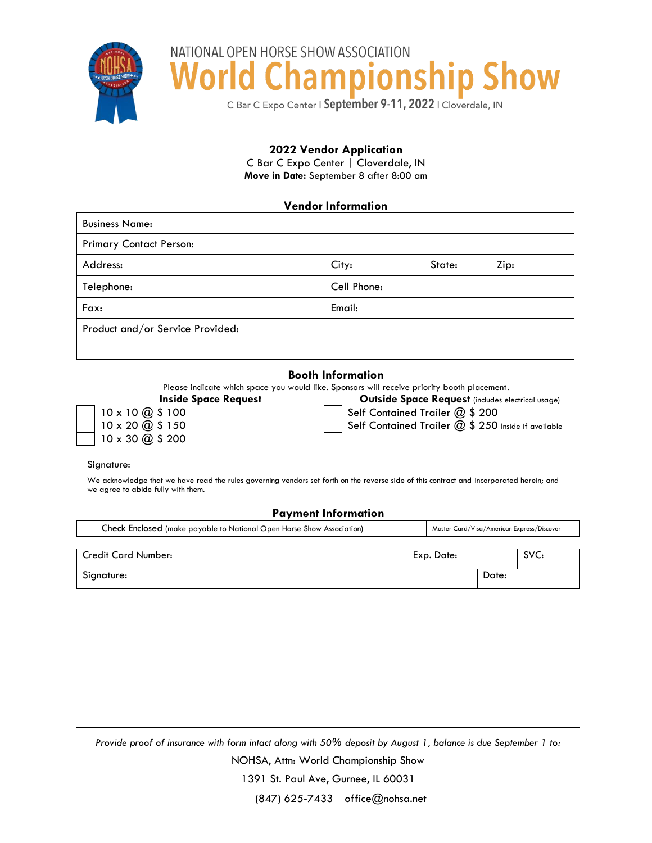

NATIONAL OPEN HORSE SHOW ASSOCIATION ampionship Show Wor

C Bar C Expo Center | September 9-11, 2022 | Cloverdale, IN

## **2022 Vendor Application**

C Bar C Expo Center | Cloverdale, IN **Move in Date:** September 8 after 8:00 am

## **Vendor Information**

| <b>Business Name:</b>            |             |        |      |  |  |  |  |
|----------------------------------|-------------|--------|------|--|--|--|--|
| <b>Primary Contact Person:</b>   |             |        |      |  |  |  |  |
| Address:                         | City:       | State: | Zip: |  |  |  |  |
| Telephone:                       | Cell Phone: |        |      |  |  |  |  |
| Fax:                             | Email:      |        |      |  |  |  |  |
| Product and/or Service Provided: |             |        |      |  |  |  |  |

## **Booth Information**

Please indicate which space you would like. Sponsors will receive priority booth placement.

|                                                      | <b>Inside Space</b> |
|------------------------------------------------------|---------------------|
| $10 \times 10 \text{ } \textcircled{3} \text{ } 100$ |                     |
| $110 \times 200$ \$150                               |                     |
| $10 \times 30 \text{ @ } $200$                       |                     |

**Request Cutside Space Request** (includes electrical usage) Self Contained Trailer  $@$  \$ 200

Self Contained Trailer  $@$  \$ 250 Inside if available

Signature:

We acknowledge that we have read the rules governing vendors set forth on the reverse side of this contract and incorporated herein; and we agree to abide fully with them.

## **Payment Information**

| Check Enclosed (make payable to National Open Horse Show Association) | Master Card/Visa/American Express/Discover |       |      |  |
|-----------------------------------------------------------------------|--------------------------------------------|-------|------|--|
|                                                                       |                                            |       |      |  |
| <b>Credit Card Number:</b>                                            | Exp. Date:                                 |       | SVC: |  |
| Signature:                                                            |                                            | Date: |      |  |

*Provide proof of insurance with form intact along with 50% deposit by August 1, balance is due September 1 to:*

NOHSA, Attn: World Championship Show

1391 St. Paul Ave, Gurnee, IL 60031

(847) 625-7433 office@nohsa.net